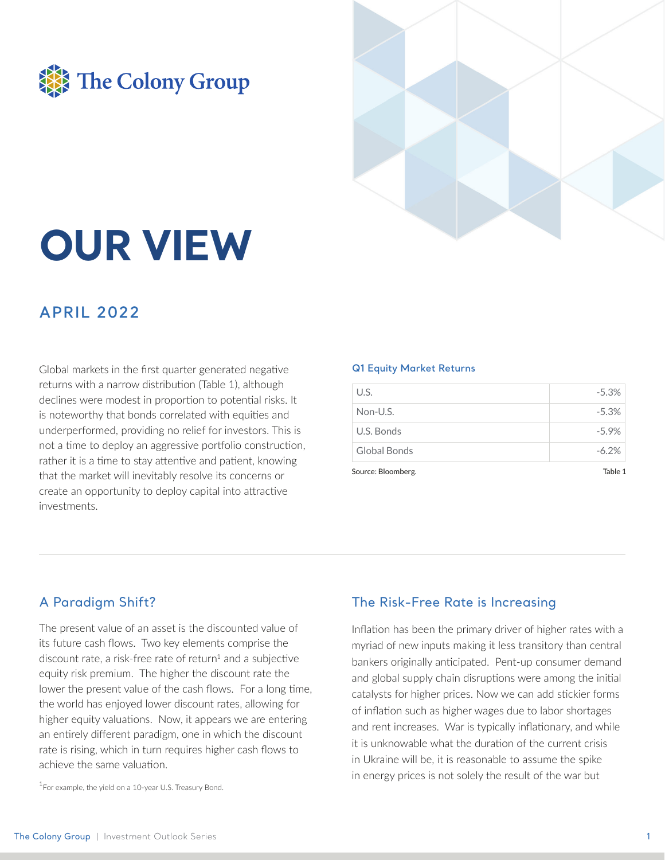



# **OUR VIEW**

# **APRIL 2022**

Global markets in the first quarter generated negative returns with a narrow distribution (Table 1), although declines were modest in proportion to potential risks. It is noteworthy that bonds correlated with equities and underperformed, providing no relief for investors. This is not a time to deploy an aggressive portfolio construction, rather it is a time to stay attentive and patient, knowing that the market will inevitably resolve its concerns or create an opportunity to deploy capital into attractive investments

#### **Q1 Equity Market Returns**

| Source: Rloomherg | 1 Able   |
|-------------------|----------|
| Global Bonds      | $-6.2%$  |
| U.S. Bonds        | $-5.9\%$ |
| Non-U.S.          | $-5.3%$  |
| U.S.              | $-5.3%$  |

# A Paradigm Shift?

The present value of an asset is the discounted value of its future cash flows. Two key elements comprise the discount rate, a risk-free rate of return<sup>1</sup> and a subjective equity risk premium. The higher the discount rate the lower the present value of the cash flows. For a long time, the world has enjoyed lower discount rates, allowing for higher equity valuations. Now, it appears we are entering an entirely different paradigm, one in which the discount rate is rising, which in turn requires higher cash flows to achieve the same valuation.

<sup>1</sup>For example, the yield on a 10-year U.S. Treasury Bond.

## The Risk-Free Rate is Increasing

Inflation has been the primary driver of higher rates with a myriad of new inputs making it less transitory than central bankers originally anticipated. Pent-up consumer demand and global supply chain disruptions were among the initial catalysts for higher prices. Now we can add stickier forms of inflation such as higher wages due to labor shortages and rent increases. War is typically inflationary, and while it is unknowable what the duration of the current crisis in Ukraine will be, it is reasonable to assume the spike in energy prices is not solely the result of the war but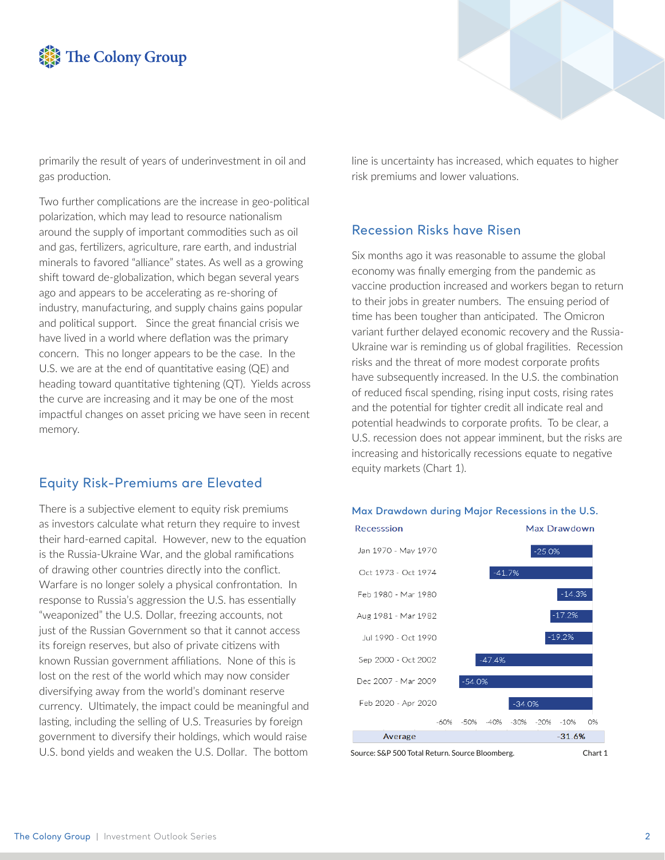



primarily the result of years of underinvestment in oil and gas production.

Two further complications are the increase in geo-political polarization, which may lead to resource nationalism around the supply of important commodities such as oil and gas, fertilizers, agriculture, rare earth, and industrial minerals to favored "alliance" states. As well as a growing shift toward de-globalization, which began several years ago and appears to be accelerating as re-shoring of industry, manufacturing, and supply chains gains popular and political support. Since the great financial crisis we have lived in a world where deflation was the primary concern. This no longer appears to be the case. In the U.S. we are at the end of quantitative easing  $(QE)$  and heading toward quantitative tightening (QT). Yields across the curve are increasing and it may be one of the most impactful changes on asset pricing we have seen in recent memory.

#### Equity Risk-Premiums are Elevated

There is a subjective element to equity risk premiums as investors calculate what return they require to invest their hard-earned capital. However, new to the equation is the Russia-Ukraine War, and the global ramifications of drawing other countries directly into the conflict. Warfare is no longer solely a physical confrontation. In response to Russia's aggression the U.S. has essentially "weaponized" the U.S. Dollar, freezing accounts, not just of the Russian Government so that it cannot access its foreign reserves, but also of private citizens with known Russian government affiliations. None of this is lost on the rest of the world which may now consider diversifying away from the world's dominant reserve currency. Ultimately, the impact could be meaningful and lasting, including the selling of U.S. Treasuries by foreign government to diversify their holdings, which would raise U.S. bond yields and weaken the U.S. Dollar. The bottom

line is uncertainty has increased, which equates to higher risk premiums and lower valuations.

#### Recession Risks have Risen

Six months ago it was reasonable to assume the global economy was finally emerging from the pandemic as vaccine production increased and workers began to return to their jobs in greater numbers. The ensuing period of time has been tougher than anticipated. The Omicron variant further delayed economic recovery and the Russia-Ukraine war is reminding us of global fragilities. Recession risks and the threat of more modest corporate profits have subsequently increased. In the U.S. the combination of reduced fiscal spending, rising input costs, rising rates and the potential for tighter credit all indicate real and potential headwinds to corporate profits. To be clear, a U.S. recession does not appear imminent, but the risks are increasing and historically recessions equate to negative equity markets (Chart 1).



#### **Max Drawdown during Major Recessions in the U.S.**